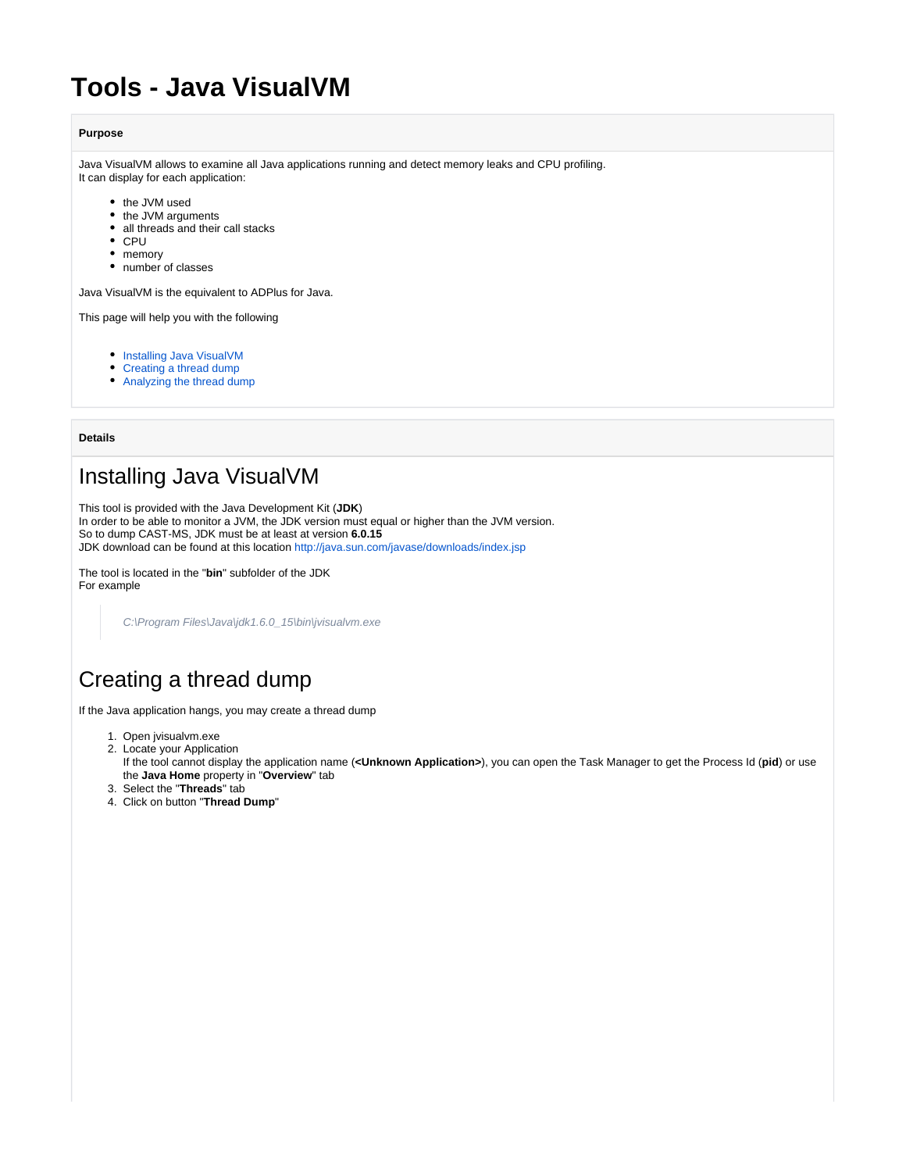# **Tools - Java VisualVM**

#### **Purpose**

Java VisualVM allows to examine all Java applications running and detect memory leaks and CPU profiling. It can display for each application:

- the JVM used
- the JVM arguments
- all threads and their call stacks
- CPU
- memory
- number of classes

Java VisualVM is the equivalent to ADPlus for Java.

This page will help you with the following

- [Installing Java VisualVM](#page-0-0)
- [Creating a thread dump](#page-0-1)
- [Analyzing the thread dump](#page-1-0)

**Details**

### <span id="page-0-0"></span>Installing Java VisualVM

This tool is provided with the Java Development Kit (**JDK**)

In order to be able to monitor a JVM, the JDK version must equal or higher than the JVM version. So to dump CAST-MS, JDK must be at least at version **6.0.15**

JDK download can be found at this location<http://java.sun.com/javase/downloads/index.jsp>

The tool is located in the "**bin**" subfolder of the JDK For example

C:\Program Files\Java\jdk1.6.0\_15\bin\jvisualvm.exe

## <span id="page-0-1"></span>Creating a thread dump

If the Java application hangs, you may create a thread dump

- 1. Open jvisualvm.exe
- 2. Locate your Application If the tool cannot display the application name (**<Unknown Application>**), you can open the Task Manager to get the Process Id (**pid**) or use the **Java Home** property in "**Overview**" tab
- 3. Select the "**Threads**" tab
- 4. Click on button "**Thread Dump**"